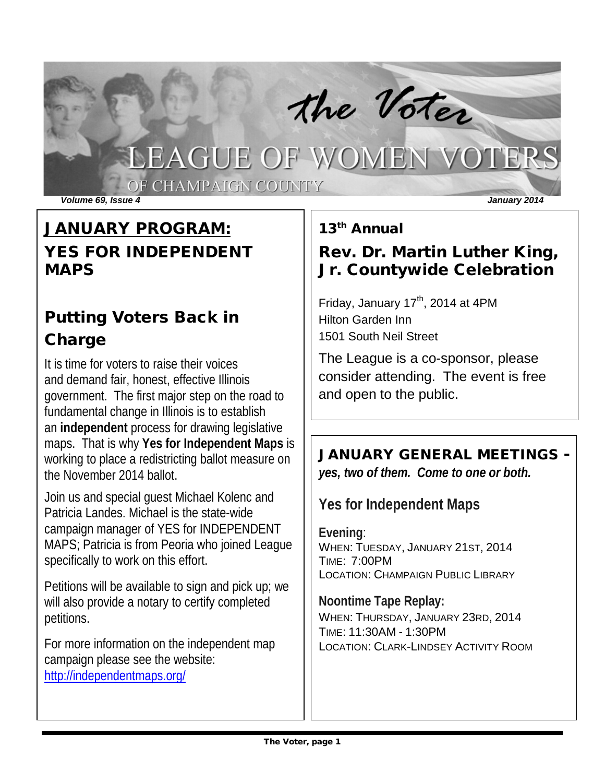# The Voter<br>LEAGUE OF WOMEN VOTERS

OF CHAMPAIGN COUNTY

*Volume 69, Issue 4 January 2014*

## JANUARY PROGRAM: YES FOR INDEPENDENT MAPS

## Putting Voters Back in **Charge**

It is time for voters to raise their voices and demand fair, honest, effective Illinois government. The first major step on the road to fundamental change in Illinois is to establish an **independent** process for drawing legislative maps. That is why **Yes for Independent Maps** is working to place a redistricting ballot measure on the November 2014 ballot.

Join us and special guest Michael Kolenc and Patricia Landes. Michael is the state-wide campaign manager of YES for INDEPENDENT MAPS; Patricia is from Peoria who joined League specifically to work on this effort.

Petitions will be available to sign and pick up; we will also provide a notary to certify completed petitions.

For more information on the independent map campaign please see the website: <http://independentmaps.org/>

13th Annual

## Rev. Dr. Martin Luther King, Jr. Countywide Celebration

Friday, January 17<sup>th</sup>, 2014 at 4PM Hilton Garden Inn 1501 South Neil Street

The League is a co-sponsor, please consider attending. The event is free and open to the public.

## JANUARY GENERAL MEETINGS -

*yes, two of them. Come to one or both.*

**Yes for Independent Maps**

**Evening**: WHEN: TUESDAY, JANUARY 21ST, 2014 TIME: 7:00PM LOCATION: CHAMPAIGN PUBLIC LIBRARY

**Noontime Tape Replay:** WHEN: THURSDAY, JANUARY 23RD, 2014 TIME: 11:30AM - 1:30PM LOCATION: CLARK-LINDSEY ACTIVITY ROOM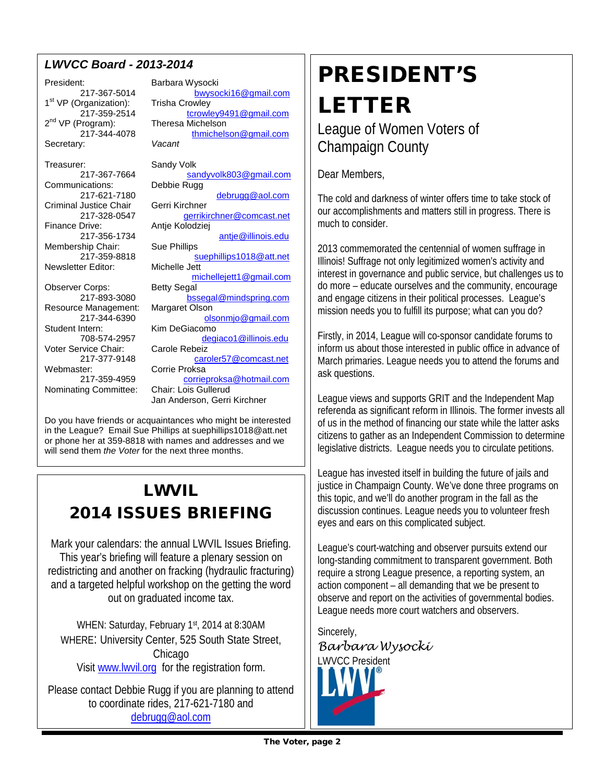### *LWVCC Board - 2013-2014*

President: Barbara Wysocki 1st VP (Organization):<br>217-359-2514  $2^{nd}$  VP (Program): Secretary:

Treasurer: Sandy Volk<br>217-367-7664 sal Communications: Criminal Justice Chair<br>217-328-0547 Membership Chair: Sue Phillips<br>217-359-8818 Newsletter Editor: Observer Corps: Betty Segal Resource Management: Margaret Olson<br>217-344-6390 ols Student Intern: Kim DeGiacomo Voter Service Chair: Carole Rebeiz

217-367-5014 [bwysocki16@gmail.com](mailto:bwysocki16@gmail.com)<br>Draanization): Trisha Crowley [tcrowley9491@gmail.com](mailto:tcrowley9491@gmail.com)<br>Theresa Michelson 217-344-4078 [thmichelson@gmail.com](mailto:thmichelson@gmail.com)<br>v: Vacant [sandyvolk803@gmail.com](mailto:sandyvolk803@gmail.com)<br>Debbie Rugg 217-621-7180 [debrugg@aol.com](mailto:debrugg@aol.com)<br>Justice Chair Gerri Kirchner 217-328-0547 [gerrikirchner@comcast.net](mailto:gerrikirchner@comcast.net)<br>Finance Drive: Antie Kolodziei Antje Kolodziej 217-356-1734 [antje@illinois.edu](mailto:antje@illinois.edu) [suephillips1018@att.net](mailto:suephillips1018@att.net) [michellejett1@gmail.com](mailto:michellejett1@gmail.com) 217-893-3080 [bssegal@mindspring.com](mailto:bssegal@mindspring.com) [olsonmjo@gmail.com](mailto:olsonmjo@gmail.com) 708-574-2957 degiaco1@illinois.edu 217-377-9148 [caroler57@comcast.net](mailto:caroler57@comcast.net) ster: Corrie Proksa<br>217-359-4959 corrier [corrieproksa@hotmail.com](mailto:corrieproksa@hotmail.com) Nominating Committee: Chair: Lois Gullerud Jan Anderson, Gerri Kirchner

Do you have friends or acquaintances who might be interested in the League? Email Sue Phillips at suephillips1018@att.net or phone her at 359-8818 with names and addresses and we will send them *the Voter* for the next three months.

## LWVIL 2014 ISSUES BRIEFING

Mark your calendars: the annual LWVIL Issues Briefing. This year's briefing will feature a plenary session on redistricting and another on fracking (hydraulic fracturing) and a targeted helpful workshop on the getting the word out on graduated income tax.

WHEN: Saturday, February 1st, 2014 at 8:30AM WHERE: University Center, 525 South State Street, **Chicago** Visit [www.lwvil.org](http://www.lwvil.org/) for the registration form.

Please contact Debbie Rugg if you are planning to attend to coordinate rides, 217-621-7180 and [debrugg@aol.com](mailto:debrugg@aol.com)

# PRESIDENT'S LETTER

League of Women Voters of Champaign County

Dear Members,

The cold and darkness of winter offers time to take stock of our accomplishments and matters still in progress. There is much to consider.

2013 commemorated the centennial of women suffrage in Illinois! Suffrage not only legitimized women's activity and interest in governance and public service, but challenges us to do more – educate ourselves and the community, encourage and engage citizens in their political processes. League's mission needs you to fulfill its purpose; what can you do?

Firstly, in 2014, League will co-sponsor candidate forums to inform us about those interested in public office in advance of March primaries. League needs you to attend the forums and ask questions.

League views and supports GRIT and the Independent Map referenda as significant reform in Illinois. The former invests all of us in the method of financing our state while the latter asks citizens to gather as an Independent Commission to determine legislative districts. League needs you to circulate petitions.

League has invested itself in building the future of jails and justice in Champaign County. We've done three programs on this topic, and we'll do another program in the fall as the discussion continues. League needs you to volunteer fresh eyes and ears on this complicated subject.

League's court-watching and observer pursuits extend our long-standing commitment to transparent government. Both require a strong League presence, a reporting system, an action component – all demanding that we be present to observe and report on the activities of governmental bodies. League needs more court watchers and observers.

Sincerely, *Barbara Wysocki* LWVCC President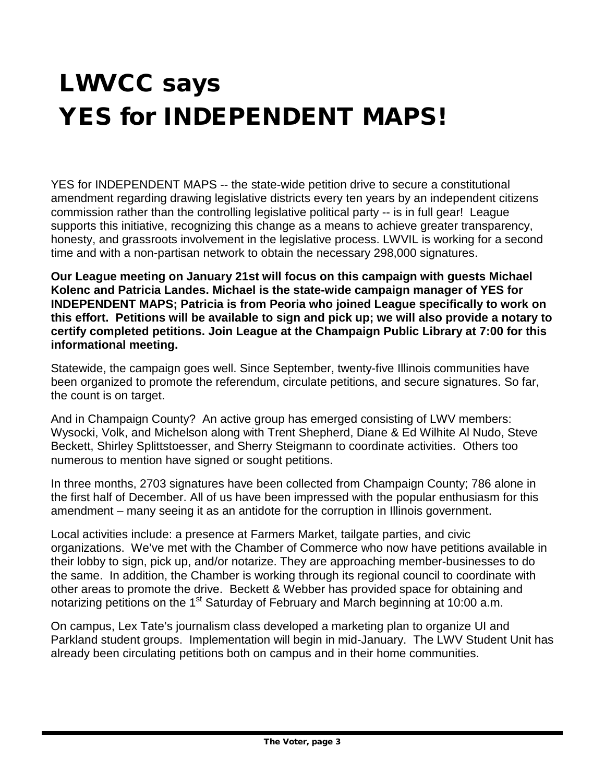# LWVCC says YES for INDEPENDENT MAPS!

YES for INDEPENDENT MAPS -- the state-wide petition drive to secure a constitutional amendment regarding drawing legislative districts every ten years by an independent citizens commission rather than the controlling legislative political party -- is in full gear! League supports this initiative, recognizing this change as a means to achieve greater transparency, honesty, and grassroots involvement in the legislative process. LWVIL is working for a second time and with a non-partisan network to obtain the necessary 298,000 signatures.

**Our League meeting on January 21st will focus on this campaign with guests Michael Kolenc and Patricia Landes. Michael is the state-wide campaign manager of YES for INDEPENDENT MAPS; Patricia is from Peoria who joined League specifically to work on this effort. Petitions will be available to sign and pick up; we will also provide a notary to certify completed petitions. Join League at the Champaign Public Library at 7:00 for this informational meeting.**

Statewide, the campaign goes well. Since September, twenty-five Illinois communities have been organized to promote the referendum, circulate petitions, and secure signatures. So far, the count is on target.

And in Champaign County? An active group has emerged consisting of LWV members: Wysocki, Volk, and Michelson along with Trent Shepherd, Diane & Ed Wilhite Al Nudo, Steve Beckett, Shirley Splittstoesser, and Sherry Steigmann to coordinate activities. Others too numerous to mention have signed or sought petitions.

In three months, 2703 signatures have been collected from Champaign County; 786 alone in the first half of December. All of us have been impressed with the popular enthusiasm for this amendment – many seeing it as an antidote for the corruption in Illinois government.

Local activities include: a presence at Farmers Market, tailgate parties, and civic organizations. We've met with the Chamber of Commerce who now have petitions available in their lobby to sign, pick up, and/or notarize. They are approaching member-businesses to do the same. In addition, the Chamber is working through its regional council to coordinate with other areas to promote the drive. Beckett & Webber has provided space for obtaining and notarizing petitions on the 1<sup>st</sup> Saturday of February and March beginning at 10:00 a.m.

On campus, Lex Tate's journalism class developed a marketing plan to organize UI and Parkland student groups. Implementation will begin in mid-January. The LWV Student Unit has already been circulating petitions both on campus and in their home communities.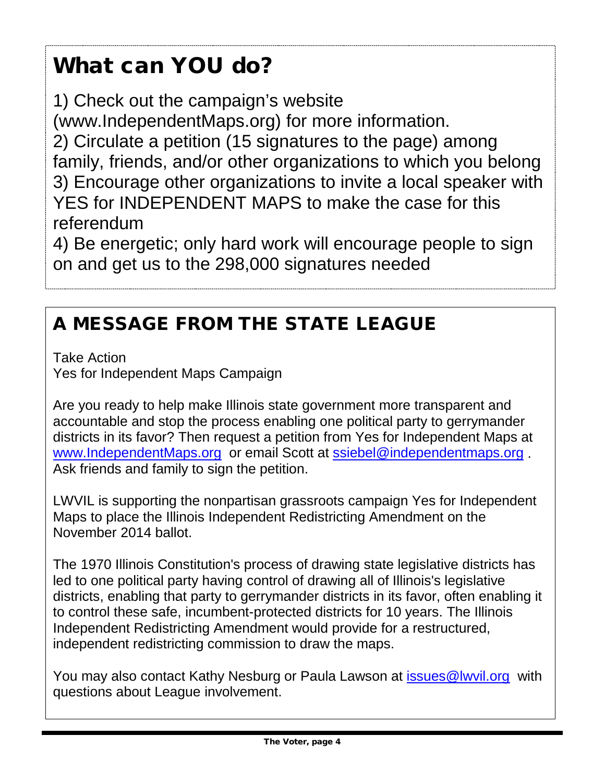# What can YOU do?

1) Check out the campaign's website

(www.IndependentMaps.org) for more information.

2) Circulate a petition (15 signatures to the page) among family, friends, and/or other organizations to which you belong 3) Encourage other organizations to invite a local speaker with YES for INDEPENDENT MAPS to make the case for this referendum

4) Be energetic; only hard work will encourage people to sign on and get us to the 298,000 signatures needed

## A MESSAGE FROM THE STATE LEAGUE

Take Action Yes for Independent Maps Campaign

Are you ready to help make Illinois state government more transparent and accountable and stop the process enabling one political party to gerrymander districts in its favor? Then request a petition from Yes for Independent Maps at [www.IndependentMaps.org](http://www.independentmaps.org/) or email Scott at [ssiebel@independentmaps.org](mailto:ssiebel@independentmaps.org) . Ask friends and family to sign the petition.

LWVIL is supporting the nonpartisan grassroots campaign Yes for Independent Maps to place the Illinois Independent Redistricting Amendment on the November 2014 ballot.

The 1970 Illinois Constitution's process of drawing state legislative districts has led to one political party having control of drawing all of Illinois's legislative districts, enabling that party to gerrymander districts in its favor, often enabling it to control these safe, incumbent-protected districts for 10 years. The Illinois Independent Redistricting Amendment would provide for a restructured, independent redistricting commission to draw the maps.

You may also contact Kathy Nesburg or Paula Lawson at *issues@lwvil.org* with questions about League involvement.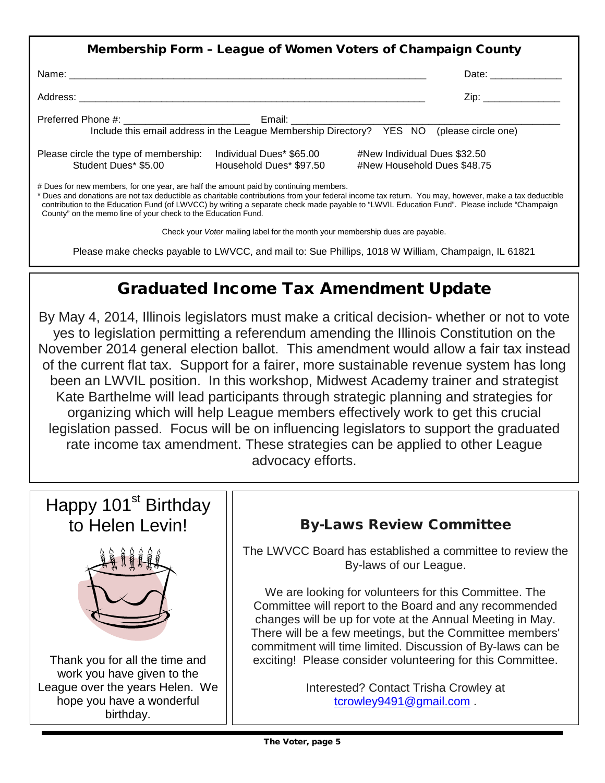| Membership Form - League of Women Voters of Champaign County                          |                                                     |                                                                                                                                                                                                                                |  |  |
|---------------------------------------------------------------------------------------|-----------------------------------------------------|--------------------------------------------------------------------------------------------------------------------------------------------------------------------------------------------------------------------------------|--|--|
|                                                                                       |                                                     | Date: the contract of the contract of the contract of the contract of the contract of the contract of the contract of the contract of the contract of the contract of the contract of the contract of the contract of the cont |  |  |
|                                                                                       |                                                     | Zip: the contract of the contract of the contract of the contract of the contract of the contract of the contract of the contract of the contract of the contract of the contract of the contract of the contract of the contr |  |  |
|                                                                                       |                                                     | Include this email address in the League Membership Directory? YES NO (please circle one)                                                                                                                                      |  |  |
| Please circle the type of membership:<br>Student Dues* \$5.00                         | Individual Dues* \$65.00<br>Household Dues* \$97.50 | #New Individual Dues \$32.50<br>#New Household Dues \$48.75                                                                                                                                                                    |  |  |
| # Dues for new members, for one year, are half the amount paid by continuing members. |                                                     | * Dues and donations are not tax deductible as charitable contributions from your federal income tax return. You may, however, make a tax deductible                                                                           |  |  |

\* Dues and donations are not tax deductible as charitable contributions from your federal income tax return. You may, however, make a tax deductible contribution to the Education Fund (of LWVCC) by writing a separate check made payable to "LWVIL Education Fund". Please include "Champaign County" on the memo line of your check to the Education Fund.

Check your *Voter* mailing label for the month your membership dues are payable.

Please make checks payable to LWVCC, and mail to: Sue Phillips, 1018 W William, Champaign, IL 61821

## Graduated Income Tax Amendment Update

By May 4, 2014, Illinois legislators must make a critical decision- whether or not to vote yes to legislation permitting a referendum amending the Illinois Constitution on the November 2014 general election ballot. This amendment would allow a fair tax instead of the current flat tax. Support for a fairer, more sustainable revenue system has long been an LWVIL position. In this workshop, Midwest Academy trainer and strategist Kate Barthelme will lead participants through strategic planning and strategies for organizing which will help League members effectively work to get this crucial legislation passed. Focus will be on influencing legislators to support the graduated rate income tax amendment. These strategies can be applied to other League advocacy efforts.